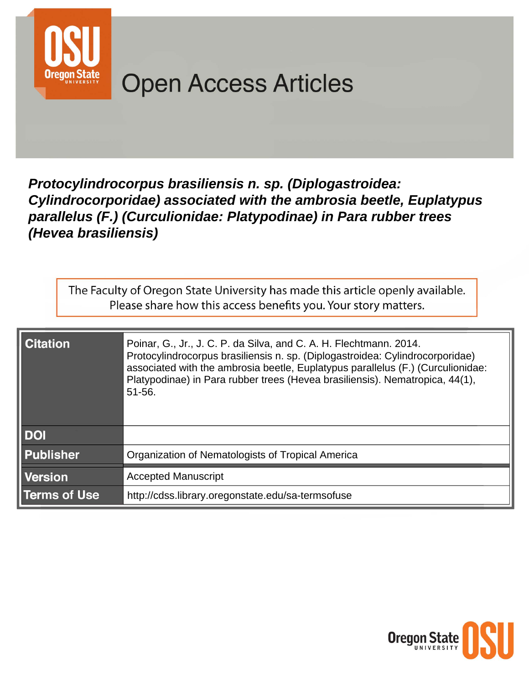

# **Open Access Articles**

# Protocylindrocorpus brasiliensis n. sp. (Diplogastroidea: Cylindrocorporidae) associated with the ambrosia beetle, Euplatypus parallelus (F.) (Curculionidae: Platypodinae) in Para rubber trees (Hevea brasiliensis)

The Faculty of Oregon State University has made this article openly available. Please share how this access benefits you. Your story matters.

| <b>Citation</b>     | Poinar, G., Jr., J. C. P. da Silva, and C. A. H. Flechtmann. 2014.<br>Protocylindrocorpus brasiliensis n. sp. (Diplogastroidea: Cylindrocorporidae)<br>associated with the ambrosia beetle, Euplatypus parallelus (F.) (Curculionidae:<br>Platypodinae) in Para rubber trees (Hevea brasiliensis). Nematropica, 44(1),<br>51-56. |
|---------------------|----------------------------------------------------------------------------------------------------------------------------------------------------------------------------------------------------------------------------------------------------------------------------------------------------------------------------------|
| <b>DOI</b>          |                                                                                                                                                                                                                                                                                                                                  |
| <b>Publisher</b>    | Organization of Nematologists of Tropical America                                                                                                                                                                                                                                                                                |
| <b>Version</b>      | <b>Accepted Manuscript</b>                                                                                                                                                                                                                                                                                                       |
| <b>Terms of Use</b> | http://cdss.library.oregonstate.edu/sa-termsofuse                                                                                                                                                                                                                                                                                |

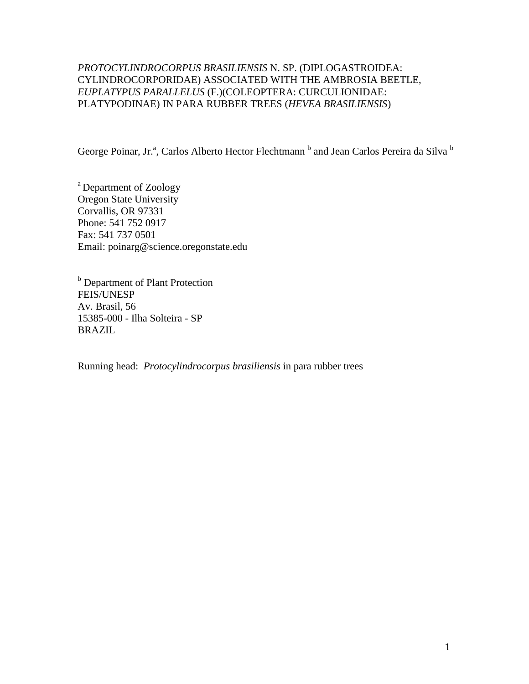# *PROTOCYLINDROCORPUS BRASILIENSIS* N. SP. (DIPLOGASTROIDEA: CYLINDROCORPORIDAE) ASSOCIATED WITH THE AMBROSIA BEETLE, *EUPLATYPUS PARALLELUS* (F.)(COLEOPTERA: CURCULIONIDAE: PLATYPODINAE) IN PARA RUBBER TREES (*HEVEA BRASILIENSIS*)

George Poinar, Jr.<sup>a</sup>, Carlos Alberto Hector Flechtmann <sup>b</sup> and Jean Carlos Pereira da Silva <sup>b</sup>

a Department of Zoology Oregon State University Corvallis, OR 97331 Phone: 541 752 0917 Fax: 541 737 0501 Email: poinarg@science.oregonstate.edu

**b** Department of Plant Protection FEIS/UNESP Av. Brasil, 56 15385-000 - Ilha Solteira - SP [B](mailto:flechtma@bio.feis.unesp.br)RAZIL

Running head: *Protocylindrocorpus brasiliensis* in para rubber trees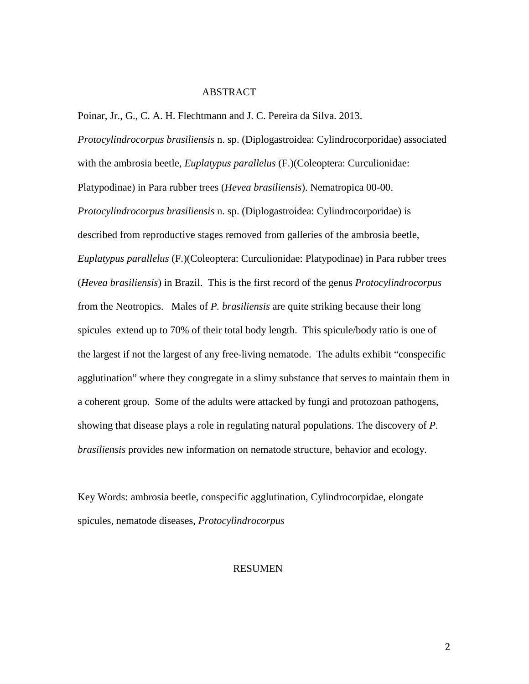# ABSTRACT

Poinar, Jr., G., C. A. H. Flechtmann and J. C. Pereira da Silva. 2013.

*Protocylindrocorpus brasiliensis* n. sp. (Diplogastroidea: Cylindrocorporidae) associated with the ambrosia beetle, *Euplatypus parallelus* (F.)(Coleoptera: Curculionidae: Platypodinae) in Para rubber trees (*Hevea brasiliensis*). Nematropica 00-00. *Protocylindrocorpus brasiliensis* n. sp. (Diplogastroidea: Cylindrocorporidae) is described from reproductive stages removed from galleries of the ambrosia beetle, *Euplatypus parallelus* (F.)(Coleoptera: Curculionidae: Platypodinae) in Para rubber trees (*Hevea brasiliensis*) in Brazil. This is the first record of the genus *Protocylindrocorpus* from the Neotropics. Males of *P. brasiliensis* are quite striking because their long spicules extend up to 70% of their total body length. This spicule/body ratio is one of the largest if not the largest of any free-living nematode. The adults exhibit "conspecific agglutination" where they congregate in a slimy substance that serves to maintain them in a coherent group. Some of the adults were attacked by fungi and protozoan pathogens, showing that disease plays a role in regulating natural populations. The discovery of *P. brasiliensis* provides new information on nematode structure, behavior and ecology.

Key Words: ambrosia beetle, conspecific agglutination, Cylindrocorpidae, elongate spicules, nematode diseases, *Protocylindrocorpus*

#### RESUMEN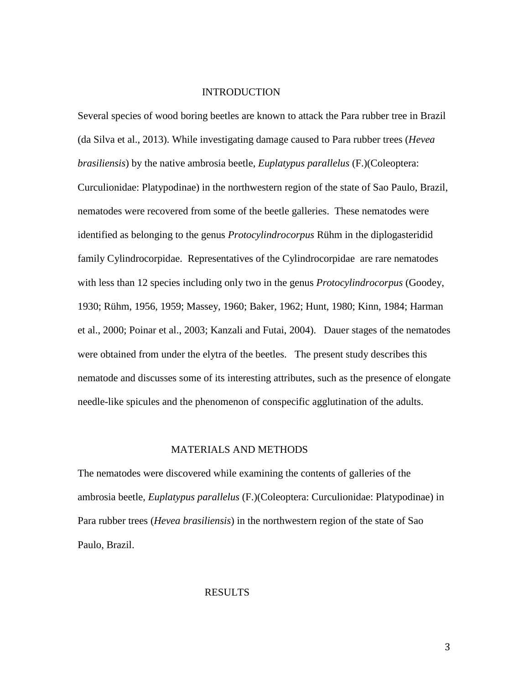# INTRODUCTION

Several species of wood boring beetles are known to attack the Para rubber tree in Brazil (da Silva et al., 2013). While investigating damage caused to Para rubber trees (*Hevea brasiliensis*) by the native ambrosia beetle, *Euplatypus parallelus* (F.)(Coleoptera: Curculionidae: Platypodinae) in the northwestern region of the state of Sao Paulo, Brazil, nematodes were recovered from some of the beetle galleries. These nematodes were identified as belonging to the genus *Protocylindrocorpus* Rühm in the diplogasteridid family Cylindrocorpidae. Representatives of the Cylindrocorpidae are rare nematodes with less than 12 species including only two in the genus *Protocylindrocorpus* (Goodey, 1930; Rühm, 1956, 1959; Massey, 1960; Baker, 1962; Hunt, 1980; Kinn, 1984; Harman et al., 2000; Poinar et al., 2003; Kanzali and Futai, 2004). Dauer stages of the nematodes were obtained from under the elytra of the beetles. The present study describes this nematode and discusses some of its interesting attributes, such as the presence of elongate needle-like spicules and the phenomenon of conspecific agglutination of the adults.

## MATERIALS AND METHODS

The nematodes were discovered while examining the contents of galleries of the ambrosia beetle, *Euplatypus parallelus* (F.)(Coleoptera: Curculionidae: Platypodinae) in Para rubber trees (*Hevea brasiliensis*) in the northwestern region of the state of Sao Paulo, Brazil.

#### RESULTS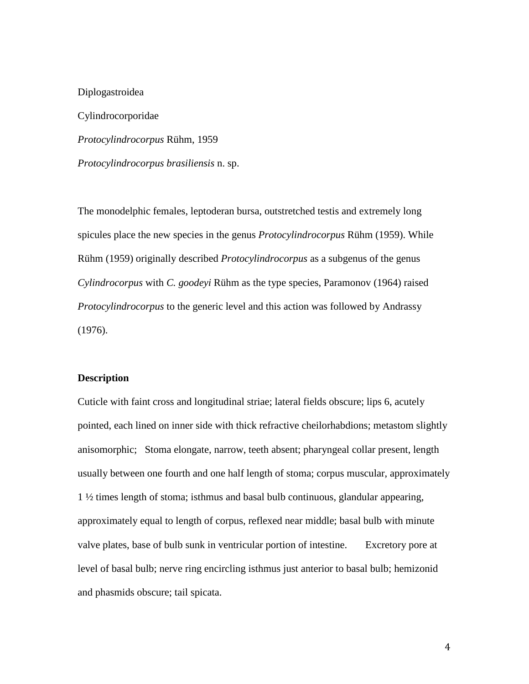Diplogastroidea Cylindrocorporidae *Protocylindrocorpus* Rühm, 1959 *Protocylindrocorpus brasiliensis* n. sp.

The monodelphic females, leptoderan bursa, outstretched testis and extremely long spicules place the new species in the genus *Protocylindrocorpus* Rühm (1959). While Rühm (1959) originally described *Protocylindrocorpus* as a subgenus of the genus *Cylindrocorpus* with *C. goodeyi* Rühm as the type species, Paramonov (1964) raised *Protocylindrocorpus* to the generic level and this action was followed by Andrassy (1976).

# **Description**

Cuticle with faint cross and longitudinal striae; lateral fields obscure; lips 6, acutely pointed, each lined on inner side with thick refractive cheilorhabdions; metastom slightly anisomorphic; Stoma elongate, narrow, teeth absent; pharyngeal collar present, length usually between one fourth and one half length of stoma; corpus muscular, approximately 1 ½ times length of stoma; isthmus and basal bulb continuous, glandular appearing, approximately equal to length of corpus, reflexed near middle; basal bulb with minute valve plates, base of bulb sunk in ventricular portion of intestine. Excretory pore at level of basal bulb; nerve ring encircling isthmus just anterior to basal bulb; hemizonid and phasmids obscure; tail spicata.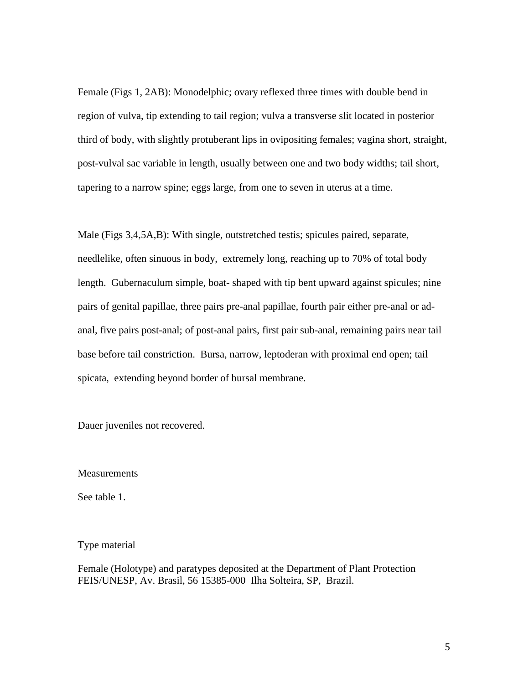Female (Figs 1, 2AB): Monodelphic; ovary reflexed three times with double bend in region of vulva, tip extending to tail region; vulva a transverse slit located in posterior third of body, with slightly protuberant lips in ovipositing females; vagina short, straight, post-vulval sac variable in length, usually between one and two body widths; tail short, tapering to a narrow spine; eggs large, from one to seven in uterus at a time.

Male (Figs 3,4,5A,B): With single, outstretched testis; spicules paired, separate, needlelike, often sinuous in body, extremely long, reaching up to 70% of total body length. Gubernaculum simple, boat- shaped with tip bent upward against spicules; nine pairs of genital papillae, three pairs pre-anal papillae, fourth pair either pre-anal or adanal, five pairs post-anal; of post-anal pairs, first pair sub-anal, remaining pairs near tail base before tail constriction. Bursa, narrow, leptoderan with proximal end open; tail spicata, extending beyond border of bursal membrane.

Dauer juveniles not recovered.

Measurements

See table 1.

Type material

Female (Holotype) and paratypes deposited at the Department of Plant Protection FEIS/UNESP, Av. Brasil, 56 15385-000 Ilha Solteira, SP, Brazil.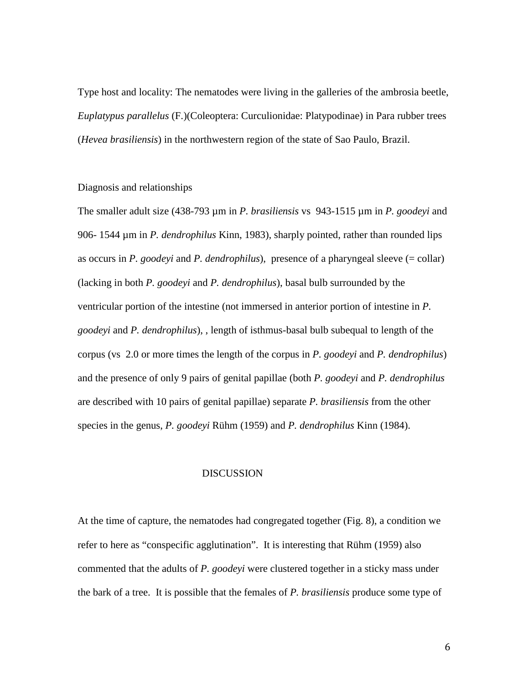Type host and locality: The nematodes were living in the galleries of the ambrosia beetle, *Euplatypus parallelus* (F.)(Coleoptera: Curculionidae: Platypodinae) in Para rubber trees (*Hevea brasiliensis*) in the northwestern region of the state of Sao Paulo, Brazil.

# Diagnosis and relationships

The smaller adult size (438-793 µm in *P. brasiliensis* vs 943-1515 µm in *P. goodeyi* and 906- 1544 µm in *P. dendrophilus* Kinn, 1983), sharply pointed, rather than rounded lips as occurs in *P. goodeyi* and *P. dendrophilus*), presence of a pharyngeal sleeve (= collar) (lacking in both *P. goodeyi* and *P. dendrophilus*), basal bulb surrounded by the ventricular portion of the intestine (not immersed in anterior portion of intestine in *P. goodeyi* and *P. dendrophilus*), , length of isthmus-basal bulb subequal to length of the corpus (vs 2.0 or more times the length of the corpus in *P. goodeyi* and *P. dendrophilus*) and the presence of only 9 pairs of genital papillae (both *P. goodeyi* and *P. dendrophilus* are described with 10 pairs of genital papillae) separate *P. brasiliensis* from the other species in the genus, *P. goodeyi* Rühm (1959) and *P. dendrophilus* Kinn (1984).

#### DISCUSSION

At the time of capture, the nematodes had congregated together (Fig. 8), a condition we refer to here as "conspecific agglutination". It is interesting that Rühm (1959) also commented that the adults of *P. goodeyi* were clustered together in a sticky mass under the bark of a tree. It is possible that the females of *P. brasiliensis* produce some type of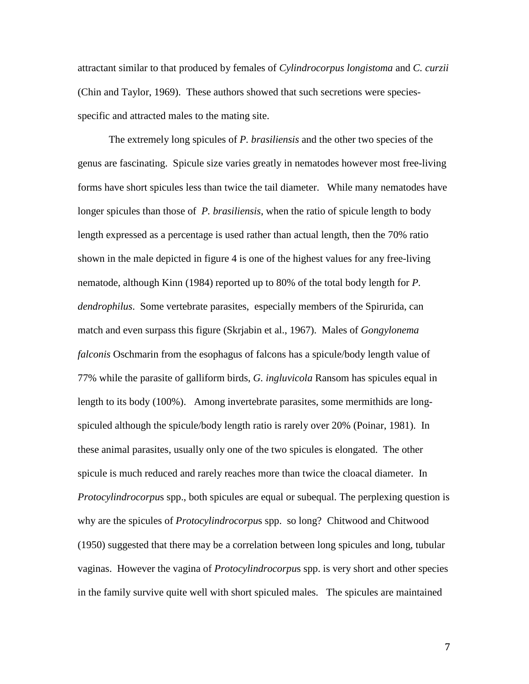attractant similar to that produced by females of *Cylindrocorpus longistoma* and *C. curzii* (Chin and Taylor, 1969). These authors showed that such secretions were speciesspecific and attracted males to the mating site.

The extremely long spicules of *P. brasiliensis* and the other two species of the genus are fascinating. Spicule size varies greatly in nematodes however most free-living forms have short spicules less than twice the tail diameter. While many nematodes have longer spicules than those of *P. brasiliensis*, when the ratio of spicule length to body length expressed as a percentage is used rather than actual length, then the 70% ratio shown in the male depicted in figure 4 is one of the highest values for any free-living nematode, although Kinn (1984) reported up to 80% of the total body length for *P. dendrophilus*. Some vertebrate parasites, especially members of the Spirurida, can match and even surpass this figure (Skrjabin et al., 1967). Males of *Gongylonema falconis* Oschmarin from the esophagus of falcons has a spicule/body length value of 77% while the parasite of galliform birds, *G. ingluvicola* Ransom has spicules equal in length to its body (100%). Among invertebrate parasites, some mermithids are longspiculed although the spicule/body length ratio is rarely over 20% (Poinar, 1981). In these animal parasites, usually only one of the two spicules is elongated. The other spicule is much reduced and rarely reaches more than twice the cloacal diameter. In *Protocylindrocorpu*s spp., both spicules are equal or subequal. The perplexing question is why are the spicules of *Protocylindrocorpu*s spp. so long? Chitwood and Chitwood (1950) suggested that there may be a correlation between long spicules and long, tubular vaginas. However the vagina of *Protocylindrocorpu*s spp. is very short and other species in the family survive quite well with short spiculed males. The spicules are maintained

7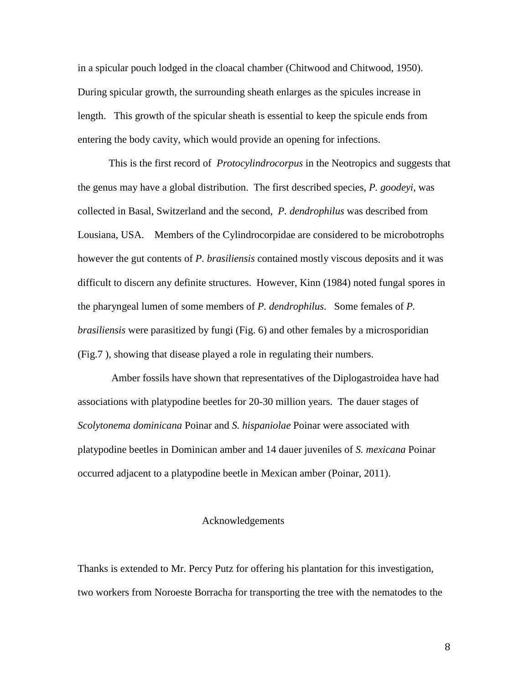in a spicular pouch lodged in the cloacal chamber (Chitwood and Chitwood, 1950). During spicular growth, the surrounding sheath enlarges as the spicules increase in length. This growth of the spicular sheath is essential to keep the spicule ends from entering the body cavity, which would provide an opening for infections.

This is the first record of *Protocylindrocorpus* in the Neotropics and suggests that the genus may have a global distribution. The first described species, *P. goodeyi*, was collected in Basal, Switzerland and the second, *P. dendrophilus* was described from Lousiana, USA. Members of the Cylindrocorpidae are considered to be microbotrophs however the gut contents of *P. brasiliensis* contained mostly viscous deposits and it was difficult to discern any definite structures. However, Kinn (1984) noted fungal spores in the pharyngeal lumen of some members of *P. dendrophilus*. Some females of *P. brasiliensis* were parasitized by fungi (Fig. 6) and other females by a microsporidian (Fig.7 ), showing that disease played a role in regulating their numbers.

Amber fossils have shown that representatives of the Diplogastroidea have had associations with platypodine beetles for 20-30 million years. The dauer stages of *Scolytonema dominicana* Poinar and *S. hispaniolae* Poinar were associated with platypodine beetles in Dominican amber and 14 dauer juveniles of *S. mexicana* Poinar occurred adjacent to a platypodine beetle in Mexican amber (Poinar, 2011).

#### Acknowledgements

Thanks is extended to Mr. Percy Putz for offering his plantation for this investigation, two workers from Noroeste Borracha for transporting the tree with the nematodes to the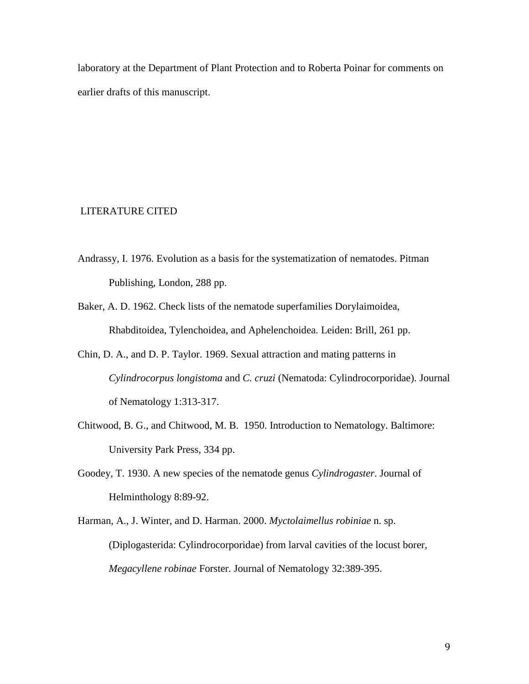laboratory at the Department of Plant Protection and to Roberta Poinar for comments on earlier drafts of this manuscript.

# LITERATURE CITED

- Andrassy, I. 1976. Evolution as a basis for the systematization of nematodes. Pitman Publishing, London, 288 pp.
- Baker, A. D. 1962. Check lists of the nematode superfamilies Dorylaimoidea, Rhabditoidea, Tylenchoidea, and Aphelenchoidea. Leiden: Brill, 261 pp.
- Chin, D. A., and D. P. Taylor. 1969. Sexual attraction and mating patterns in *Cylindrocorpus longistoma* and *C. cruzi* (Nematoda: Cylindrocorporidae). Journal of Nematology 1:313-317.
- Chitwood, B. G., and Chitwood, M. B. 1950. Introduction to Nematology. Baltimore: University Park Press, 334 pp.
- Goodey, T. 1930. A new species of the nematode genus *Cylindrogaster*. Journal of Helminthology 8:89-92.
- Harman, A., J. Winter, and D. Harman. 2000. *Myctolaimellus robiniae* n. sp. (Diplogasterida: Cylindrocorporidae) from larval cavities of the locust borer, *Megacyllene robinae* Forster. Journal of Nematology 32:389-395.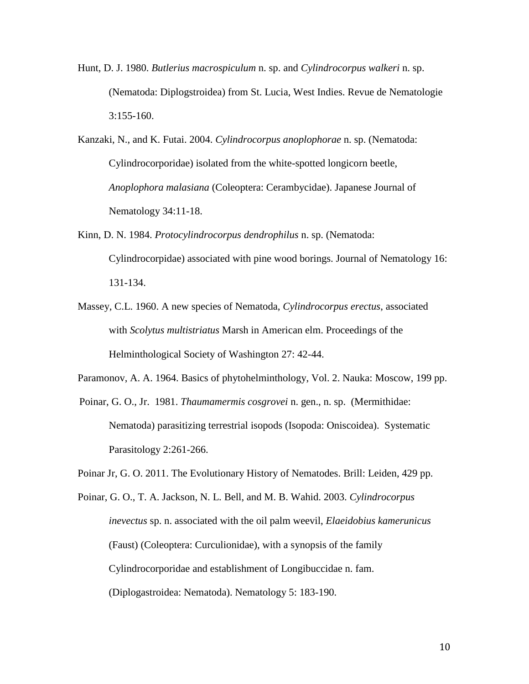Hunt, D. J. 1980. *Butlerius macrospiculum* n. sp. and *Cylindrocorpus walkeri* n. sp. (Nematoda: Diplogstroidea) from St. Lucia, West Indies. Revue de Nematologie 3:155-160.

Kanzaki, N., and K. Futai. 2004. *Cylindrocorpus anoplophorae* n. sp. (Nematoda: Cylindrocorporidae) isolated from the white-spotted longicorn beetle, *Anoplophora malasiana* (Coleoptera: Cerambycidae). Japanese Journal of Nematology 34:11-18.

- Kinn, D. N. 1984. *Protocylindrocorpus dendrophilus* n. sp. (Nematoda: Cylindrocorpidae) associated with pine wood borings. Journal of Nematology 16: 131-134.
- Massey, C.L. 1960. A new species of Nematoda, *Cylindrocorpus erectus*, associated with *Scolytus multistriatus* Marsh in American elm. Proceedings of the Helminthological Society of Washington 27: 42-44.

Paramonov, A. A. 1964. Basics of phytohelminthology, Vol. 2. Nauka: Moscow, 199 pp.

Poinar, G. O., Jr. 1981. *Thaumamermis cosgrovei* n. gen., n. sp. (Mermithidae: Nematoda) parasitizing terrestrial isopods (Isopoda: Oniscoidea). Systematic Parasitology 2:261-266.

Poinar Jr, G. O. 2011. The Evolutionary History of Nematodes. Brill: Leiden, 429 pp.

Poinar, G. O., T. A. Jackson, N. L. Bell, and M. B. Wahid. 2003. *Cylindrocorpus inevectus* sp. n. associated with the oil palm weevil, *Elaeidobius kamerunicus* (Faust) (Coleoptera: Curculionidae), with a synopsis of the family Cylindrocorporidae and establishment of Longibuccidae n. fam. (Diplogastroidea: Nematoda). Nematology 5: 183-190.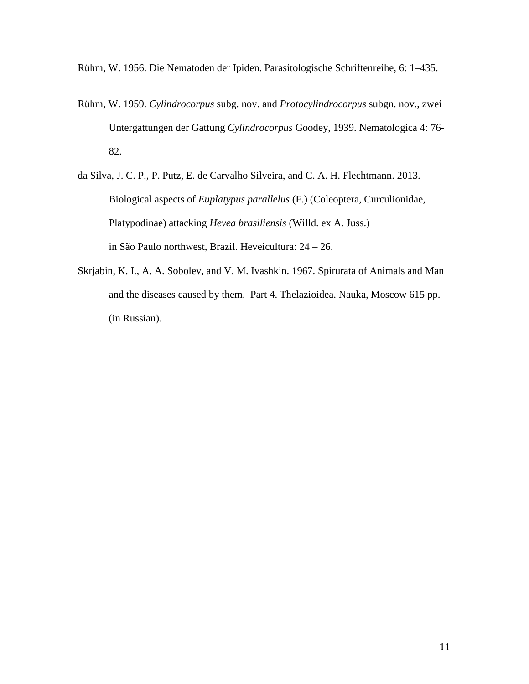Rühm, W. 1956. Die Nematoden der Ipiden. Parasitologische Schriftenreihe, 6: 1–435.

- Rühm, W. 1959. *Cylindrocorpus* subg. nov. and *Protocylindrocorpus* subgn. nov., zwei Untergattungen der Gattung *Cylindrocorpus* Goodey, 1939. Nematologica 4: 76- 82.
- da Silva, J. C. P., P. Putz, E. de Carvalho Silveira, and C. A. H. Flechtmann. 2013. Biological aspects of *Euplatypus parallelus* (F.) (Coleoptera, Curculionidae, Platypodinae) attacking *Hevea brasiliensis* (Willd. ex A. Juss.) in São Paulo northwest, Brazil. Heveicultura: 24 – 26.
- Skrjabin, K. I., A. A. Sobolev, and V. M. Ivashkin. 1967. Spirurata of Animals and Man and the diseases caused by them. Part 4. Thelazioidea. Nauka, Moscow 615 pp. (in Russian).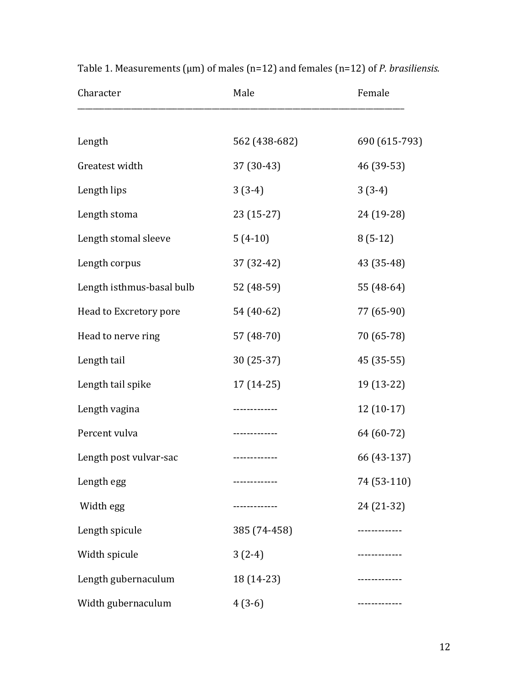| Character                 | Male          | Female        |
|---------------------------|---------------|---------------|
|                           |               |               |
| Length                    | 562 (438-682) | 690 (615-793) |
| Greatest width            | 37 (30-43)    | 46 (39-53)    |
| Length lips               | $3(3-4)$      | $3(3-4)$      |
| Length stoma              | $23(15-27)$   | 24 (19-28)    |
| Length stomal sleeve      | $5(4-10)$     | $8(5-12)$     |
| Length corpus             | 37 (32-42)    | 43 (35-48)    |
| Length isthmus-basal bulb | 52 (48-59)    | 55 (48-64)    |
| Head to Excretory pore    | 54 (40-62)    | 77 (65-90)    |
| Head to nerve ring        | 57 (48-70)    | 70 (65-78)    |
| Length tail               | $30(25-37)$   | 45 (35-55)    |
| Length tail spike         | $17(14-25)$   | 19 (13-22)    |
| Length vagina             | -----------   | $12(10-17)$   |
| Percent vulva             | .             | 64 (60-72)    |
| Length post vulvar-sac    | ------------- | 66 (43-137)   |
| Length egg                | ------------- | 74 (53-110)   |
| Width egg                 |               | 24 (21-32)    |
| Length spicule            | 385 (74-458)  | ------------  |
| Width spicule             | $3(2-4)$      | ------------- |
| Length gubernaculum       | 18 (14-23)    | .             |
| Width gubernaculum        | $4(3-6)$      |               |

Table 1. Measurements (µm) of males (n=12) and females (n=12) of *P. brasiliensis.*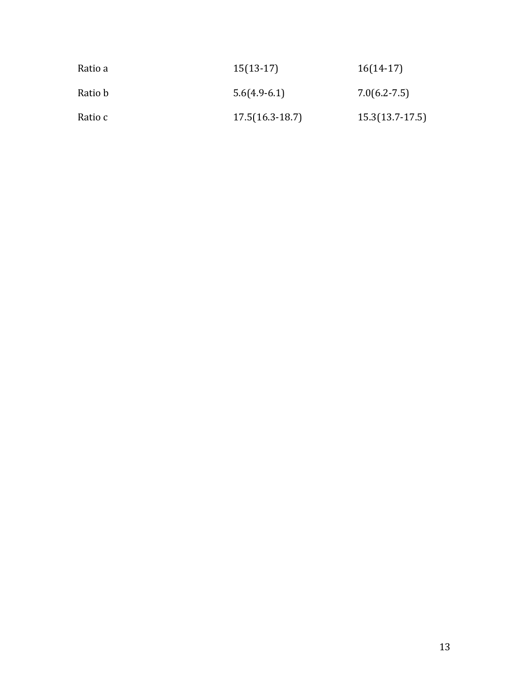| Ratio a | $15(13-17)$       | $16(14-17)$       |
|---------|-------------------|-------------------|
| Ratio b | $5.6(4.9-6.1)$    | $7.0(6.2 - 7.5)$  |
| Ratio c | $17.5(16.3-18.7)$ | $15.3(13.7-17.5)$ |